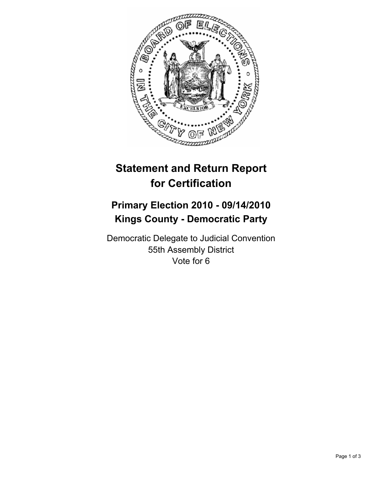

## **Statement and Return Report for Certification**

## **Primary Election 2010 - 09/14/2010 Kings County - Democratic Party**

Democratic Delegate to Judicial Convention 55th Assembly District Vote for 6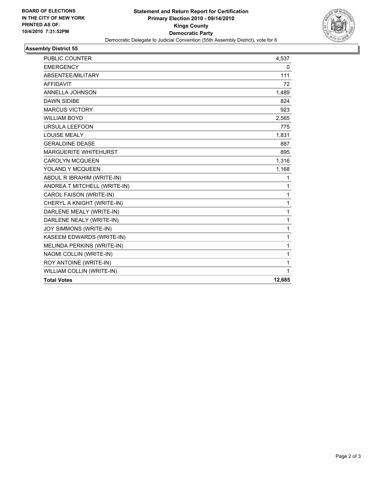

## **Assembly District 55**

| WILLIAM COLLIN (WRITE-IN)                             | 1                 |
|-------------------------------------------------------|-------------------|
| ROY ANTOINE (WRITE-IN)                                | 1                 |
| MELINDA PERKINS (WRITE-IN)<br>NAOMI COLLIN (WRITE-IN) | $\mathbf{1}$<br>1 |
| KASEEM EDWARDS (WRITE-IN)                             | $\mathbf{1}$      |
| JOY SIMMONS (WRITE-IN)                                | 1                 |
| DARLENE NEALY (WRITE-IN)                              | $\mathbf{1}$      |
| DARLENE MEALY (WRITE-IN)                              | $\mathbf{1}$      |
| CHERYL A KNIGHT (WRITE-IN)                            | 1                 |
| CAROL FAISON (WRITE-IN)                               | $\mathbf{1}$      |
| ANDREA T MITCHELL (WRITE-IN)                          | 1                 |
| ABDUL R IBRAHIM (WRITE-IN)                            | 1                 |
| YOLAND Y MCQUEEN                                      | 1,168             |
| <b>CAROLYN MCQUEEN</b>                                | 1,316             |
| <b>MARGUERITE WHITEHURST</b>                          | 895               |
| <b>GERALDINE DEASE</b>                                | 887               |
| <b>LOUISE MEALY</b>                                   | 1,831             |
| <b>URSULA LEEFOON</b>                                 | 775               |
| <b>WILLIAM BOYD</b>                                   | 2,565             |
| <b>MARCUS VICTORY</b>                                 | 923               |
| <b>DAWN SIDIBE</b>                                    | 824               |
| ANNELLA JOHNSON                                       | 1,489             |
| <b>AFFIDAVIT</b>                                      | 72                |
| ABSENTEE/MILITARY                                     | 111               |
| <b>EMERGENCY</b>                                      | 0                 |
| PUBLIC COUNTER                                        | 4,537             |